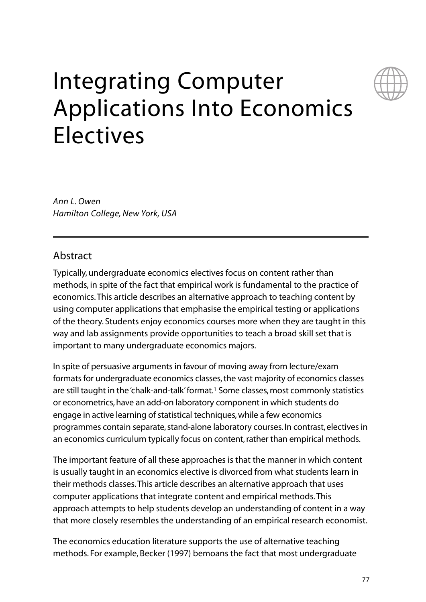

# Integrating Computer Applications Into Economics Electives

*Ann L. Owen Hamilton College, New York, USA*

## Abstract

Typically, undergraduate economics electives focus on content rather than methods, in spite of the fact that empirical work is fundamental to the practice of economics.This article describes an alternative approach to teaching content by using computer applications that emphasise the empirical testing or applications of the theory. Students enjoy economics courses more when they are taught in this way and lab assignments provide opportunities to teach a broad skill set that is important to many undergraduate economics majors.

In spite of persuasive arguments in favour of moving away from lecture/exam formats for undergraduate economics classes, the vast majority of economics classes are still taught in the 'chalk-and-talk' format.<sup>1</sup> Some classes, most commonly statistics or econometrics,have an add-on laboratory component in which students do engage in active learning of statistical techniques, while a few economics programmes contain separate, stand-alone laboratory courses. In contrast, electives in an economics curriculum typically focus on content, rather than empirical methods.

The important feature of all these approaches is that the manner in which content is usually taught in an economics elective is divorced from what students learn in their methods classes.This article describes an alternative approach that uses computer applications that integrate content and empirical methods.This approach attempts to help students develop an understanding of content in a way that more closely resembles the understanding of an empirical research economist.

The economics education literature supports the use of alternative teaching methods. For example, Becker (1997) bemoans the fact that most undergraduate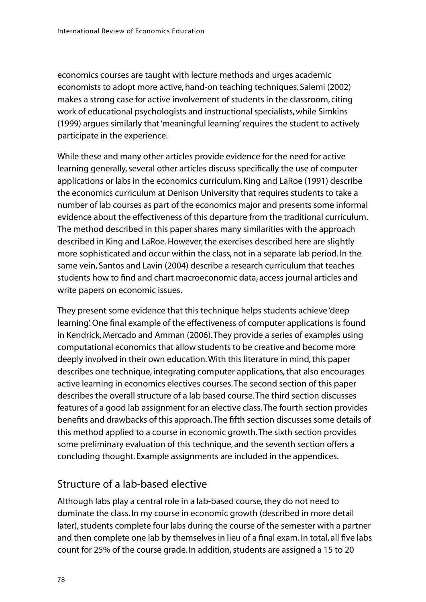economics courses are taught with lecture methods and urges academic economists to adopt more active, hand-on teaching techniques. Salemi (2002) makes a strong case for active involvement of students in the classroom, citing work of educational psychologists and instructional specialists, while Simkins (1999) argues similarly that 'meaningful learning' requires the student to actively participate in the experience.

While these and many other articles provide evidence for the need for active learning generally, several other articles discuss specifically the use of computer applications or labs in the economics curriculum. King and LaRoe (1991) describe the economics curriculum at Denison University that requires students to take a number of lab courses as part of the economics major and presents some informal evidence about the effectiveness of this departure from the traditional curriculum. The method described in this paper shares many similarities with the approach described in King and LaRoe. However, the exercises described here are slightly more sophisticated and occur within the class, not in a separate lab period. In the same vein, Santos and Lavin (2004) describe a research curriculum that teaches students how to find and chart macroeconomic data, access journal articles and write papers on economic issues.

They present some evidence that this technique helps students achieve 'deep learning'. One final example of the effectiveness of computer applications is found in Kendrick, Mercado and Amman (2006).They provide a series of examples using computational economics that allow students to be creative and become more deeply involved in their own education.With this literature in mind, this paper describes one technique, integrating computer applications, that also encourages active learning in economics electives courses.The second section of this paper describes the overall structure of a lab based course.The third section discusses features of a good lab assignment for an elective class.The fourth section provides benefits and drawbacks of this approach.The fifth section discusses some details of this method applied to a course in economic growth.The sixth section provides some preliminary evaluation of this technique, and the seventh section offers a concluding thought. Example assignments are included in the appendices.

### Structure of a lab-based elective

Although labs play a central role in a lab-based course, they do not need to dominate the class. In my course in economic growth (described in more detail later), students complete four labs during the course of the semester with a partner and then complete one lab by themselves in lieu of a final exam. In total, all five labs count for 25% of the course grade. In addition, students are assigned a 15 to 20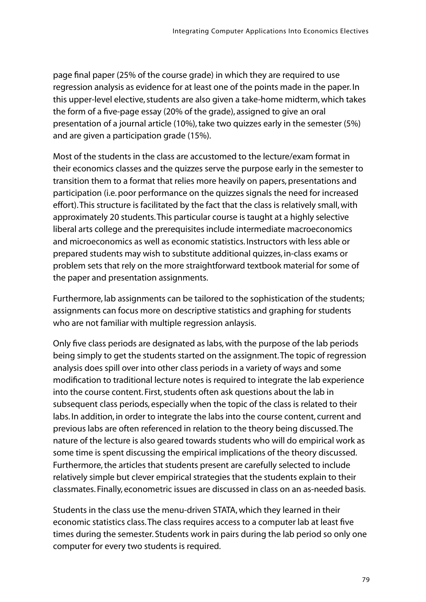page final paper (25% of the course grade) in which they are required to use regression analysis as evidence for at least one of the points made in the paper. In this upper-level elective, students are also given a take-home midterm, which takes the form of a five-page essay (20% of the grade), assigned to give an oral presentation of a journal article (10%), take two quizzes early in the semester (5%) and are given a participation grade (15%).

Most of the students in the class are accustomed to the lecture/exam format in their economics classes and the quizzes serve the purpose early in the semester to transition them to a format that relies more heavily on papers, presentations and participation (i.e. poor performance on the quizzes signals the need for increased effort).This structure is facilitated by the fact that the class is relatively small, with approximately 20 students.This particular course is taught at a highly selective liberal arts college and the prerequisites include intermediate macroeconomics and microeconomics as well as economic statistics. Instructors with less able or prepared students may wish to substitute additional quizzes, in-class exams or problem sets that rely on the more straightforward textbook material for some of the paper and presentation assignments.

Furthermore, lab assignments can be tailored to the sophistication of the students; assignments can focus more on descriptive statistics and graphing for students who are not familiar with multiple regression anlaysis.

Only five class periods are designated as labs, with the purpose of the lab periods being simply to get the students started on the assignment.The topic of regression analysis does spill over into other class periods in a variety of ways and some modification to traditional lecture notes is required to integrate the lab experience into the course content. First, students often ask questions about the lab in subsequent class periods, especially when the topic of the class is related to their labs. In addition, in order to integrate the labs into the course content, current and previous labs are often referenced in relation to the theory being discussed.The nature of the lecture is also geared towards students who will do empirical work as some time is spent discussing the empirical implications of the theory discussed. Furthermore, the articles that students present are carefully selected to include relatively simple but clever empirical strategies that the students explain to their classmates. Finally, econometric issues are discussed in class on an as-needed basis.

Students in the class use the menu-driven STATA, which they learned in their economic statistics class.The class requires access to a computer lab at least five times during the semester. Students work in pairs during the lab period so only one computer for every two students is required.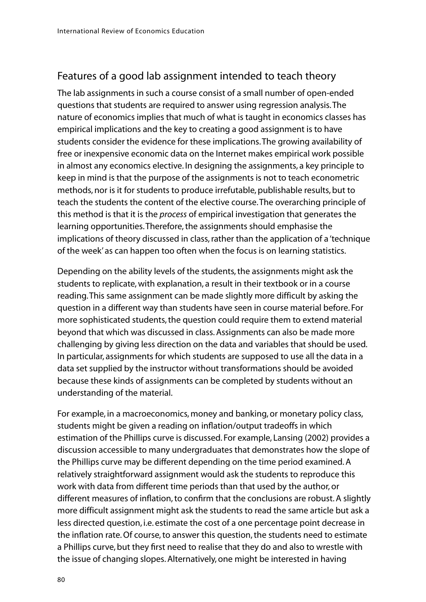# Features of a good lab assignment intended to teach theory

The lab assignments in such a course consist of a small number of open-ended questions that students are required to answer using regression analysis.The nature of economics implies that much of what is taught in economics classes has empirical implications and the key to creating a good assignment is to have students consider the evidence for these implications.The growing availability of free or inexpensive economic data on the Internet makes empirical work possible in almost any economics elective. In designing the assignments, a key principle to keep in mind is that the purpose of the assignments is not to teach econometric methods, nor is it for students to produce irrefutable, publishable results, but to teach the students the content of the elective course.The overarching principle of this method is that it is the *process* of empirical investigation that generates the learning opportunities.Therefore, the assignments should emphasise the implications of theory discussed in class, rather than the application of a 'technique of the week' as can happen too often when the focus is on learning statistics.

Depending on the ability levels of the students, the assignments might ask the students to replicate, with explanation, a result in their textbook or in a course reading.This same assignment can be made slightly more difficult by asking the question in a different way than students have seen in course material before. For more sophisticated students, the question could require them to extend material beyond that which was discussed in class. Assignments can also be made more challenging by giving less direction on the data and variables that should be used. In particular, assignments for which students are supposed to use all the data in a data set supplied by the instructor without transformations should be avoided because these kinds of assignments can be completed by students without an understanding of the material.

For example, in a macroeconomics, money and banking, or monetary policy class, students might be given a reading on inflation/output tradeoffs in which estimation of the Phillips curve is discussed. For example, Lansing (2002) provides a discussion accessible to many undergraduates that demonstrates how the slope of the Phillips curve may be different depending on the time period examined. A relatively straightforward assignment would ask the students to reproduce this work with data from different time periods than that used by the author, or different measures of inflation, to confirm that the conclusions are robust. A slightly more difficult assignment might ask the students to read the same article but ask a less directed question, i.e. estimate the cost of a one percentage point decrease in the inflation rate. Of course, to answer this question, the students need to estimate a Phillips curve, but they first need to realise that they do and also to wrestle with the issue of changing slopes.Alternatively, one might be interested in having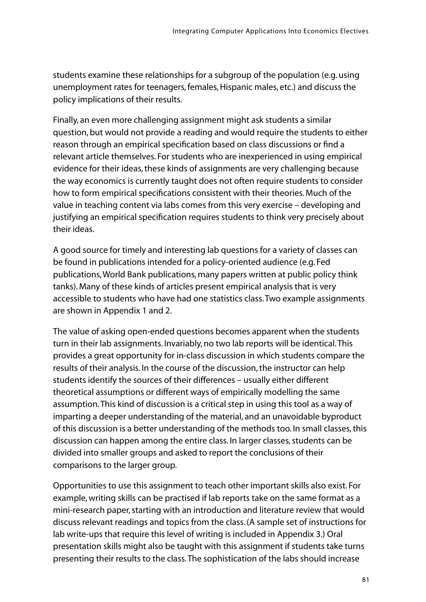students examine these relationships for a subgroup of the population (e.g. using unemployment rates for teenagers, females, Hispanic males, etc.) and discuss the policy implications of their results.

Finally, an even more challenging assignment might ask students a similar question, but would not provide a reading and would require the students to either reason through an empirical specification based on class discussions or find a relevant article themselves. For students who are inexperienced in using empirical evidence for their ideas, these kinds of assignments are very challenging because the way economics is currently taught does not often require students to consider how to form empirical specifications consistent with their theories. Much of the value in teaching content via labs comes from this very exercise – developing and justifying an empirical specification requires students to think very precisely about their ideas.

A good source for timely and interesting lab questions for a variety of classes can be found in publications intended for a policy-oriented audience (e.g. Fed publications, World Bank publications, many papers written at public policy think tanks). Many of these kinds of articles present empirical analysis that is very accessible to students who have had one statistics class.Two example assignments are shown in Appendix 1 and 2.

The value of asking open-ended questions becomes apparent when the students turn in their lab assignments. Invariably, no two lab reports will be identical.This provides a great opportunity for in-class discussion in which students compare the results of their analysis. In the course of the discussion, the instructor can help students identify the sources of their differences – usually either different theoretical assumptions or different ways of empirically modelling the same assumption.This kind of discussion is a critical step in using this tool as a way of imparting a deeper understanding of the material, and an unavoidable byproduct of this discussion is a better understanding of the methods too. In small classes, this discussion can happen among the entire class. In larger classes, students can be divided into smaller groups and asked to report the conclusions of their comparisons to the larger group.

Opportunities to use this assignment to teach other important skills also exist. For example, writing skills can be practised if lab reports take on the same format as a mini-research paper, starting with an introduction and literature review that would discuss relevant readings and topics from the class. (A sample set of instructions for lab write-ups that require this level of writing is included in Appendix 3.) Oral presentation skills might also be taught with this assignment if students take turns presenting their results to the class.The sophistication of the labs should increase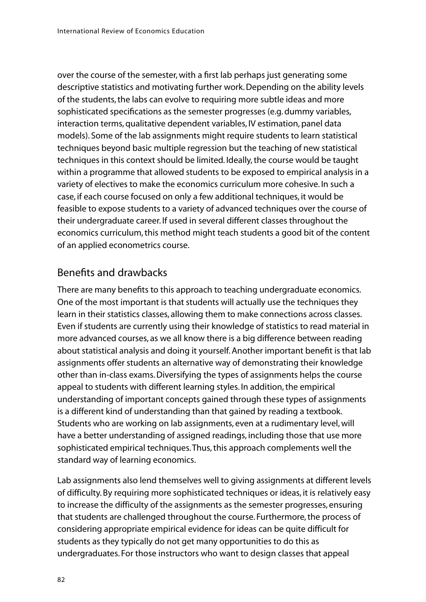over the course of the semester, with a first lab perhaps just generating some descriptive statistics and motivating further work. Depending on the ability levels of the students, the labs can evolve to requiring more subtle ideas and more sophisticated specifications as the semester progresses (e.g. dummy variables, interaction terms, qualitative dependent variables, IV estimation, panel data models). Some of the lab assignments might require students to learn statistical techniques beyond basic multiple regression but the teaching of new statistical techniques in this context should be limited. Ideally, the course would be taught within a programme that allowed students to be exposed to empirical analysis in a variety of electives to make the economics curriculum more cohesive. In such a case, if each course focused on only a few additional techniques, it would be feasible to expose students to a variety of advanced techniques over the course of their undergraduate career. If used in several different classes throughout the economics curriculum, this method might teach students a good bit of the content of an applied econometrics course.

## Benefits and drawbacks

There are many benefits to this approach to teaching undergraduate economics. One of the most important is that students will actually use the techniques they learn in their statistics classes, allowing them to make connections across classes. Even if students are currently using their knowledge of statistics to read material in more advanced courses, as we all know there is a big difference between reading about statistical analysis and doing it yourself. Another important benefit is that lab assignments offer students an alternative way of demonstrating their knowledge other than in-class exams. Diversifying the types of assignments helps the course appeal to students with different learning styles. In addition, the empirical understanding of important concepts gained through these types of assignments is a different kind of understanding than that gained by reading a textbook. Students who are working on lab assignments, even at a rudimentary level, will have a better understanding of assigned readings, including those that use more sophisticated empirical techniques.Thus, this approach complements well the standard way of learning economics.

Lab assignments also lend themselves well to giving assignments at different levels of difficulty. By requiring more sophisticated techniques or ideas, it is relatively easy to increase the difficulty of the assignments as the semester progresses, ensuring that students are challenged throughout the course. Furthermore, the process of considering appropriate empirical evidence for ideas can be quite difficult for students as they typically do not get many opportunities to do this as undergraduates. For those instructors who want to design classes that appeal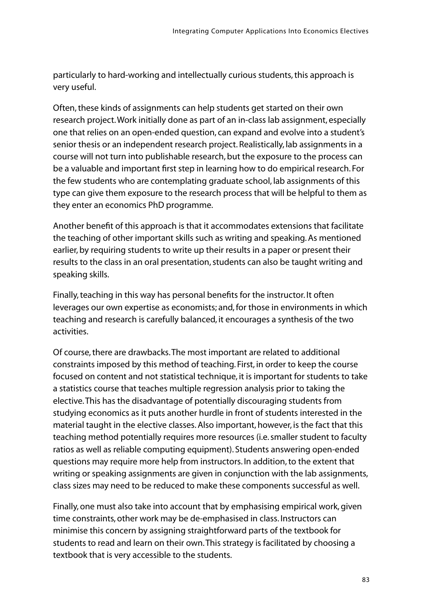particularly to hard-working and intellectually curious students, this approach is very useful.

Often, these kinds of assignments can help students get started on their own research project.Work initially done as part of an in-class lab assignment, especially one that relies on an open-ended question, can expand and evolve into a student's senior thesis or an independent research project. Realistically, lab assignments in a course will not turn into publishable research, but the exposure to the process can be a valuable and important first step in learning how to do empirical research. For the few students who are contemplating graduate school, lab assignments of this type can give them exposure to the research process that will be helpful to them as they enter an economics PhD programme.

Another benefit of this approach is that it accommodates extensions that facilitate the teaching of other important skills such as writing and speaking. As mentioned earlier, by requiring students to write up their results in a paper or present their results to the class in an oral presentation, students can also be taught writing and speaking skills.

Finally, teaching in this way has personal benefits for the instructor. It often leverages our own expertise as economists; and, for those in environments in which teaching and research is carefully balanced, it encourages a synthesis of the two activities.

Of course, there are drawbacks.The most important are related to additional constraints imposed by this method of teaching. First, in order to keep the course focused on content and not statistical technique, it is important for students to take a statistics course that teaches multiple regression analysis prior to taking the elective.This has the disadvantage of potentially discouraging students from studying economics as it puts another hurdle in front of students interested in the material taught in the elective classes. Also important, however, is the fact that this teaching method potentially requires more resources (i.e. smaller student to faculty ratios as well as reliable computing equipment). Students answering open-ended questions may require more help from instructors. In addition, to the extent that writing or speaking assignments are given in conjunction with the lab assignments, class sizes may need to be reduced to make these components successful as well.

Finally, one must also take into account that by emphasising empirical work, given time constraints, other work may be de-emphasised in class. Instructors can minimise this concern by assigning straightforward parts of the textbook for students to read and learn on their own.This strategy is facilitated by choosing a textbook that is very accessible to the students.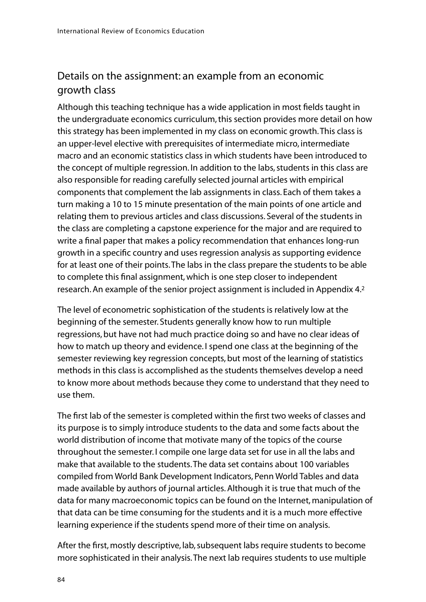# Details on the assignment: an example from an economic growth class

Although this teaching technique has a wide application in most fields taught in the undergraduate economics curriculum, this section provides more detail on how this strategy has been implemented in my class on economic growth.This class is an upper-level elective with prerequisites of intermediate micro, intermediate macro and an economic statistics class in which students have been introduced to the concept of multiple regression. In addition to the labs, students in this class are also responsible for reading carefully selected journal articles with empirical components that complement the lab assignments in class. Each of them takes a turn making a 10 to 15 minute presentation of the main points of one article and relating them to previous articles and class discussions. Several of the students in the class are completing a capstone experience for the major and are required to write a final paper that makes a policy recommendation that enhances long-run growth in a specific country and uses regression analysis as supporting evidence for at least one of their points.The labs in the class prepare the students to be able to complete this final assignment, which is one step closer to independent research. An example of the senior project assignment is included in Appendix 4.2

The level of econometric sophistication of the students is relatively low at the beginning of the semester. Students generally know how to run multiple regressions, but have not had much practice doing so and have no clear ideas of how to match up theory and evidence. I spend one class at the beginning of the semester reviewing key regression concepts, but most of the learning of statistics methods in this class is accomplished as the students themselves develop a need to know more about methods because they come to understand that they need to use them.

The first lab of the semester is completed within the first two weeks of classes and its purpose is to simply introduce students to the data and some facts about the world distribution of income that motivate many of the topics of the course throughout the semester. I compile one large data set for use in all the labs and make that available to the students.The data set contains about 100 variables compiled from World Bank Development Indicators, Penn World Tables and data made available by authors of journal articles. Although it is true that much of the data for many macroeconomic topics can be found on the Internet, manipulation of that data can be time consuming for the students and it is a much more effective learning experience if the students spend more of their time on analysis.

After the first, mostly descriptive, lab, subsequent labs require students to become more sophisticated in their analysis.The next lab requires students to use multiple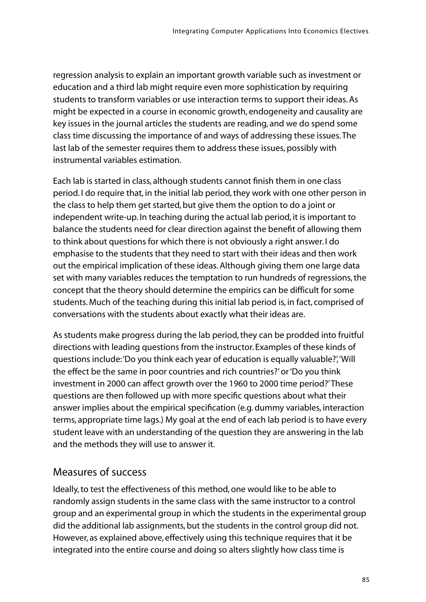regression analysis to explain an important growth variable such as investment or education and a third lab might require even more sophistication by requiring students to transform variables or use interaction terms to support their ideas. As might be expected in a course in economic growth, endogeneity and causality are key issues in the journal articles the students are reading, and we do spend some class time discussing the importance of and ways of addressing these issues.The last lab of the semester requires them to address these issues, possibly with instrumental variables estimation.

Each lab is started in class, although students cannot finish them in one class period. I do require that, in the initial lab period, they work with one other person in the class to help them get started, but give them the option to do a joint or independent write-up. In teaching during the actual lab period, it is important to balance the students need for clear direction against the benefit of allowing them to think about questions for which there is not obviously a right answer. I do emphasise to the students that they need to start with their ideas and then work out the empirical implication of these ideas. Although giving them one large data set with many variables reduces the temptation to run hundreds of regressions, the concept that the theory should determine the empirics can be difficult for some students. Much of the teaching during this initial lab period is, in fact, comprised of conversations with the students about exactly what their ideas are.

As students make progress during the lab period, they can be prodded into fruitful directions with leading questions from the instructor. Examples of these kinds of questions include:'Do you think each year of education is equally valuable?','Will the effect be the same in poor countries and rich countries?' or 'Do you think investment in 2000 can affect growth over the 1960 to 2000 time period?'These questions are then followed up with more specific questions about what their answer implies about the empirical specification (e.g. dummy variables, interaction terms, appropriate time lags.) My goal at the end of each lab period is to have every student leave with an understanding of the question they are answering in the lab and the methods they will use to answer it.

# Measures of success

Ideally, to test the effectiveness of this method, one would like to be able to randomly assign students in the same class with the same instructor to a control group and an experimental group in which the students in the experimental group did the additional lab assignments, but the students in the control group did not. However, as explained above, effectively using this technique requires that it be integrated into the entire course and doing so alters slightly how class time is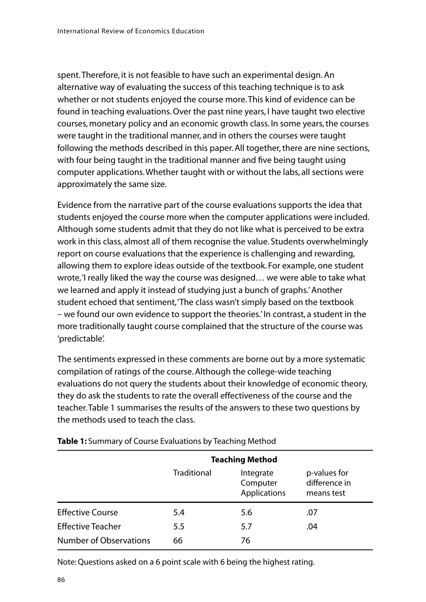spent.Therefore, it is not feasible to have such an experimental design. An alternative way of evaluating the success of this teaching technique is to ask whether or not students enjoyed the course more.This kind of evidence can be found in teaching evaluations. Over the past nine years, I have taught two elective courses, monetary policy and an economic growth class. In some years, the courses were taught in the traditional manner, and in others the courses were taught following the methods described in this paper. All together, there are nine sections, with four being taught in the traditional manner and five being taught using computer applications.Whether taught with or without the labs, all sections were approximately the same size.

Evidence from the narrative part of the course evaluations supports the idea that students enjoyed the course more when the computer applications were included. Although some students admit that they do not like what is perceived to be extra work in this class, almost all of them recognise the value. Students overwhelmingly report on course evaluations that the experience is challenging and rewarding, allowing them to explore ideas outside of the textbook. For example, one student wrote,'I really liked the way the course was designed… we were able to take what we learned and apply it instead of studying just a bunch of graphs.' Another student echoed that sentiment,'The class wasn't simply based on the textbook – we found our own evidence to support the theories.' In contrast, a student in the more traditionally taught course complained that the structure of the course was 'predictable'.

The sentiments expressed in these comments are borne out by a more systematic compilation of ratings of the course. Although the college-wide teaching evaluations do not query the students about their knowledge of economic theory, they do ask the students to rate the overall effectiveness of the course and the teacher.Table 1 summarises the results of the answers to these two questions by the methods used to teach the class.

|                          | <b>Teaching Method</b> |                                       |                                             |
|--------------------------|------------------------|---------------------------------------|---------------------------------------------|
|                          | Traditional            | Integrate<br>Computer<br>Applications | p-values for<br>difference in<br>means test |
| <b>Effective Course</b>  | 5.4                    | 5.6                                   | .07                                         |
| <b>Effective Teacher</b> | 5.5                    | 5.7                                   | .04                                         |
| Number of Observations   | 66                     | 76                                    |                                             |

**Table 1:** Summary of Course Evaluations by Teaching Method

Note: Questions asked on a 6 point scale with 6 being the highest rating.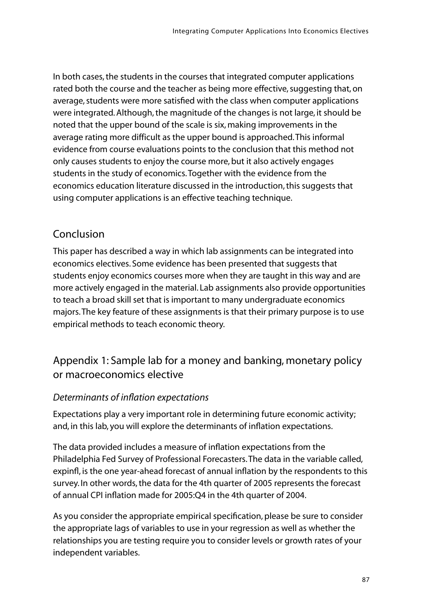In both cases, the students in the courses that integrated computer applications rated both the course and the teacher as being more effective, suggesting that, on average, students were more satisfied with the class when computer applications were integrated. Although, the magnitude of the changes is not large, it should be noted that the upper bound of the scale is six, making improvements in the average rating more difficult as the upper bound is approached.This informal evidence from course evaluations points to the conclusion that this method not only causes students to enjoy the course more, but it also actively engages students in the study of economics.Together with the evidence from the economics education literature discussed in the introduction, this suggests that using computer applications is an effective teaching technique.

## Conclusion

This paper has described a way in which lab assignments can be integrated into economics electives. Some evidence has been presented that suggests that students enjoy economics courses more when they are taught in this way and are more actively engaged in the material. Lab assignments also provide opportunities to teach a broad skill set that is important to many undergraduate economics majors.The key feature of these assignments is that their primary purpose is to use empirical methods to teach economic theory.

# Appendix 1: Sample lab for a money and banking, monetary policy or macroeconomics elective

### *Determinants of inflation expectations*

Expectations play a very important role in determining future economic activity; and, in this lab, you will explore the determinants of inflation expectations.

The data provided includes a measure of inflation expectations from the Philadelphia Fed Survey of Professional Forecasters.The data in the variable called, expinfl, is the one year-ahead forecast of annual inflation by the respondents to this survey. In other words, the data for the 4th quarter of 2005 represents the forecast of annual CPI inflation made for 2005:Q4 in the 4th quarter of 2004.

As you consider the appropriate empirical specification, please be sure to consider the appropriate lags of variables to use in your regression as well as whether the relationships you are testing require you to consider levels or growth rates of your independent variables.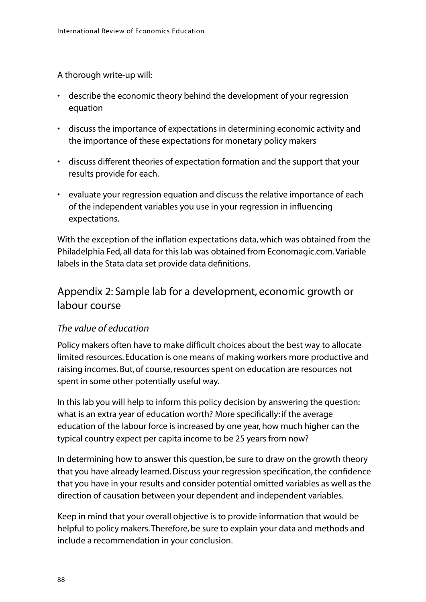A thorough write-up will:

- describe the economic theory behind the development of your regression equation
- discuss the importance of expectations in determining economic activity and the importance of these expectations for monetary policy makers
- discuss different theories of expectation formation and the support that your results provide for each.
- evaluate your regression equation and discuss the relative importance of each of the independent variables you use in your regression in influencing expectations.

With the exception of the inflation expectations data, which was obtained from the Philadelphia Fed, all data for this lab was obtained from Economagic.com.Variable labels in the Stata data set provide data definitions.

## Appendix 2: Sample lab for a development, economic growth or labour course

#### *The value of education*

Policy makers often have to make difficult choices about the best way to allocate limited resources. Education is one means of making workers more productive and raising incomes. But, of course, resources spent on education are resources not spent in some other potentially useful way.

In this lab you will help to inform this policy decision by answering the question: what is an extra year of education worth? More specifically: if the average education of the labour force is increased by one year, how much higher can the typical country expect per capita income to be 25 years from now?

In determining how to answer this question, be sure to draw on the growth theory that you have already learned. Discuss your regression specification, the confidence that you have in your results and consider potential omitted variables as well as the direction of causation between your dependent and independent variables.

Keep in mind that your overall objective is to provide information that would be helpful to policy makers.Therefore, be sure to explain your data and methods and include a recommendation in your conclusion.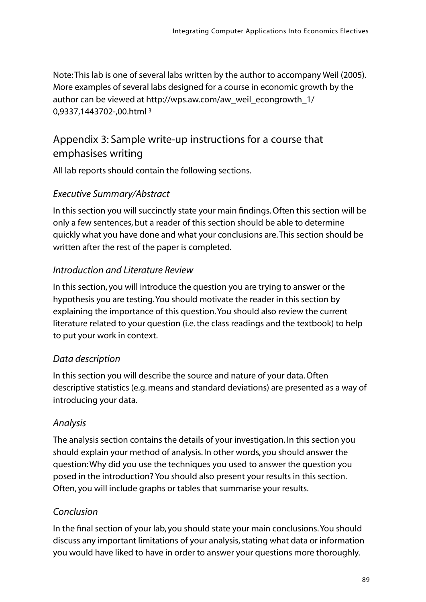Note:This lab is one of several labs written by the author to accompany Weil (2005). More examples of several labs designed for a course in economic growth by the author can be viewed at http://wps.aw.com/aw\_weil\_econgrowth\_1/ 0,9337,1443702-,00.html 3

# Appendix 3: Sample write-up instructions for a course that emphasises writing

All lab reports should contain the following sections.

#### *Executive Summary/Abstract*

In this section you will succinctly state your main findings. Often this section will be only a few sentences, but a reader of this section should be able to determine quickly what you have done and what your conclusions are.This section should be written after the rest of the paper is completed.

### *Introduction and Literature Review*

In this section, you will introduce the question you are trying to answer or the hypothesis you are testing.You should motivate the reader in this section by explaining the importance of this question.You should also review the current literature related to your question (i.e. the class readings and the textbook) to help to put your work in context.

#### *Data description*

In this section you will describe the source and nature of your data. Often descriptive statistics (e.g. means and standard deviations) are presented as a way of introducing your data.

#### *Analysis*

The analysis section contains the details of your investigation. In this section you should explain your method of analysis. In other words, you should answer the question:Why did you use the techniques you used to answer the question you posed in the introduction? You should also present your results in this section. Often, you will include graphs or tables that summarise your results.

### *Conclusion*

In the final section of your lab, you should state your main conclusions.You should discuss any important limitations of your analysis, stating what data or information you would have liked to have in order to answer your questions more thoroughly.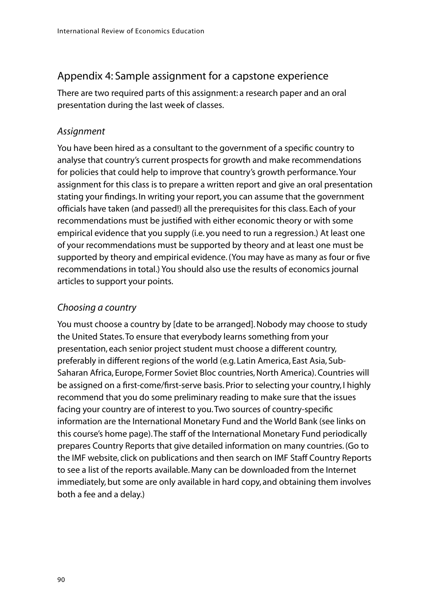## Appendix 4: Sample assignment for a capstone experience

There are two required parts of this assignment: a research paper and an oral presentation during the last week of classes.

#### *Assignment*

You have been hired as a consultant to the government of a specific country to analyse that country's current prospects for growth and make recommendations for policies that could help to improve that country's growth performance.Your assignment for this class is to prepare a written report and give an oral presentation stating your findings. In writing your report, you can assume that the government officials have taken (and passed!) all the prerequisites for this class. Each of your recommendations must be justified with either economic theory or with some empirical evidence that you supply (i.e. you need to run a regression.) At least one of your recommendations must be supported by theory and at least one must be supported by theory and empirical evidence. (You may have as many as four or five recommendations in total.) You should also use the results of economics journal articles to support your points.

#### *Choosing a country*

You must choose a country by [date to be arranged]. Nobody may choose to study the United States.To ensure that everybody learns something from your presentation, each senior project student must choose a different country, preferably in different regions of the world (e.g. Latin America, East Asia, Sub-Saharan Africa, Europe, Former Soviet Bloc countries, North America). Countries will be assigned on a first-come/first-serve basis. Prior to selecting your country, I highly recommend that you do some preliminary reading to make sure that the issues facing your country are of interest to you.Two sources of country-specific information are the International Monetary Fund and the World Bank (see links on this course's home page).The staff of the International Monetary Fund periodically prepares Country Reports that give detailed information on many countries. (Go to the IMF website, click on publications and then search on IMF Staff Country Reports to see a list of the reports available. Many can be downloaded from the Internet immediately, but some are only available in hard copy, and obtaining them involves both a fee and a delay.)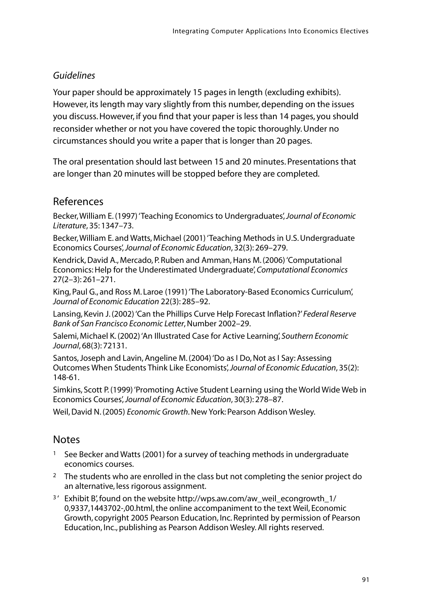#### *Guidelines*

Your paper should be approximately 15 pages in length (excluding exhibits). However, its length may vary slightly from this number, depending on the issues you discuss. However, if you find that your paper is less than 14 pages, you should reconsider whether or not you have covered the topic thoroughly. Under no circumstances should you write a paper that is longer than 20 pages.

The oral presentation should last between 15 and 20 minutes. Presentations that are longer than 20 minutes will be stopped before they are completed.

## References

Becker, William E. (1997) 'Teaching Economics to Undergraduates',*Journal of Economic Literature*, 35: 1347–73.

Becker, William E. and Watts, Michael (2001) 'Teaching Methods in U.S. Undergraduate Economics Courses',*Journal of Economic Education*, 32(3): 269–279.

Kendrick, David A., Mercado, P. Ruben and Amman, Hans M. (2006) 'Computational Economics: Help for the Underestimated Undergraduate',*Computational Economics* 27(2–3): 261–271.

King, Paul G., and Ross M. Laroe (1991) 'The Laboratory-Based Economics Curriculum', *Journal of Economic Education* 22(3): 285–92.

Lansing, Kevin J. (2002) 'Can the Phillips Curve Help Forecast Inflation?' *Federal Reserve Bank of San Francisco Economic Letter*, Number 2002–29.

Salemi, Michael K. (2002) 'An Illustrated Case for Active Learning', *Southern Economic Journal*, 68(3): 72131.

Santos, Joseph and Lavin, Angeline M. (2004) 'Do as I Do, Not as I Say: Assessing Outcomes When Students Think Like Economists',*Journal of Economic Education*, 35(2): 148-61.

Simkins, Scott P. (1999) 'Promoting Active Student Learning using the World Wide Web in Economics Courses',*Journal of Economic Education*, 30(3): 278–87.

Weil, David N. (2005) *Economic Growth*. New York: Pearson Addison Wesley.

## **Notes**

- 1 See Becker and Watts (2001) for a survey of teaching methods in undergraduate economics courses.
- <sup>2</sup> The students who are enrolled in the class but not completing the senior project do an alternative, less rigorous assignment.
- <sup>3</sup> Exhibit B', found on the website http://wps.aw.com/aw\_weil\_econgrowth\_1/ 0,9337,1443702-,00.html, the online accompaniment to the text Weil, Economic Growth, copyright 2005 Pearson Education, Inc. Reprinted by permission of Pearson Education, Inc., publishing as Pearson Addison Wesley. All rights reserved.